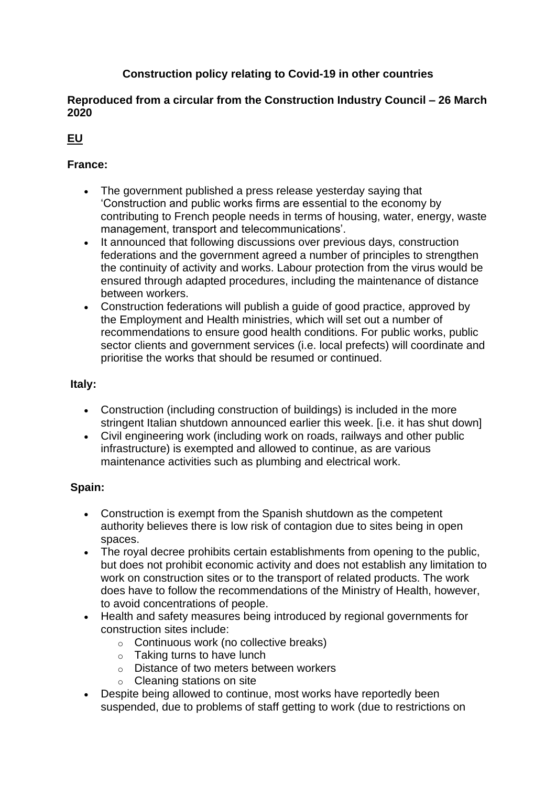# **Construction policy relating to Covid-19 in other countries**

### **Reproduced from a circular from the Construction Industry Council – 26 March 2020**

# **EU**

# **France:**

- The government published a press release yesterday saying that 'Construction and public works firms are essential to the economy by contributing to French people needs in terms of housing, water, energy, waste management, transport and telecommunications'.
- It announced that following discussions over previous days, construction federations and the government agreed a number of principles to strengthen the continuity of activity and works. Labour protection from the virus would be ensured through adapted procedures, including the maintenance of distance between workers.
- Construction federations will publish a guide of good practice, approved by the Employment and Health ministries, which will set out a number of recommendations to ensure good health conditions. For public works, public sector clients and government services (i.e. local prefects) will coordinate and prioritise the works that should be resumed or continued.

## **Italy:**

- Construction (including construction of buildings) is included in the more stringent Italian shutdown announced earlier this week. [i.e. it has shut down]
- Civil engineering work (including work on roads, railways and other public infrastructure) is exempted and allowed to continue, as are various maintenance activities such as plumbing and electrical work.

## **Spain:**

- Construction is exempt from the Spanish shutdown as the competent authority believes there is low risk of contagion due to sites being in open spaces.
- The royal decree prohibits certain establishments from opening to the public, but does not prohibit economic activity and does not establish any limitation to work on construction sites or to the transport of related products. The work does have to follow the recommendations of the Ministry of Health, however, to avoid concentrations of people.
- Health and safety measures being introduced by regional governments for construction sites include:
	- o Continuous work (no collective breaks)
	- o Taking turns to have lunch
	- o Distance of two meters between workers
	- o Cleaning stations on site
- Despite being allowed to continue, most works have reportedly been suspended, due to problems of staff getting to work (due to restrictions on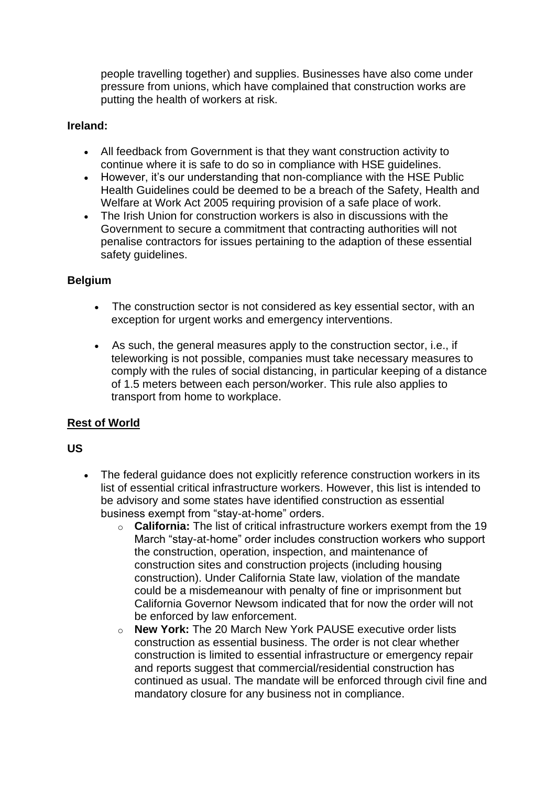people travelling together) and supplies. Businesses have also come under pressure from unions, which have complained that construction works are putting the health of workers at risk.

#### **Ireland:**

- All feedback from Government is that they want construction activity to continue where it is safe to do so in compliance with HSE guidelines.
- However, it's our understanding that non-compliance with the HSE Public Health Guidelines could be deemed to be a breach of the Safety, Health and Welfare at Work Act 2005 requiring provision of a safe place of work.
- The Irish Union for construction workers is also in discussions with the Government to secure a commitment that contracting authorities will not penalise contractors for issues pertaining to the adaption of these essential safety guidelines.

#### **Belgium**

- The construction sector is not considered as key essential sector, with an exception for urgent works and emergency interventions.
- As such, the general measures apply to the construction sector, i.e., if teleworking is not possible, companies must take necessary measures to comply with the rules of social distancing, in particular keeping of a distance of 1.5 meters between each person/worker. This rule also applies to transport from home to workplace.

### **Rest of World**

#### **US**

- The federal guidance does not explicitly reference construction workers in its list of essential critical infrastructure workers. However, this list is intended to be advisory and some states have identified construction as essential business exempt from "stay-at-home" orders.
	- o **California:** The list of critical infrastructure workers exempt from the 19 March "stay-at-home" order includes construction workers who support the construction, operation, inspection, and maintenance of construction sites and construction projects (including housing construction). Under California State law, violation of the mandate could be a misdemeanour with penalty of fine or imprisonment but California Governor Newsom indicated that for now the order will not be enforced by law enforcement.
	- o **New York:** The 20 March New York PAUSE executive order lists construction as essential business. The order is not clear whether construction is limited to essential infrastructure or emergency repair and reports suggest that commercial/residential construction has continued as usual. The mandate will be enforced through civil fine and mandatory closure for any business not in compliance.